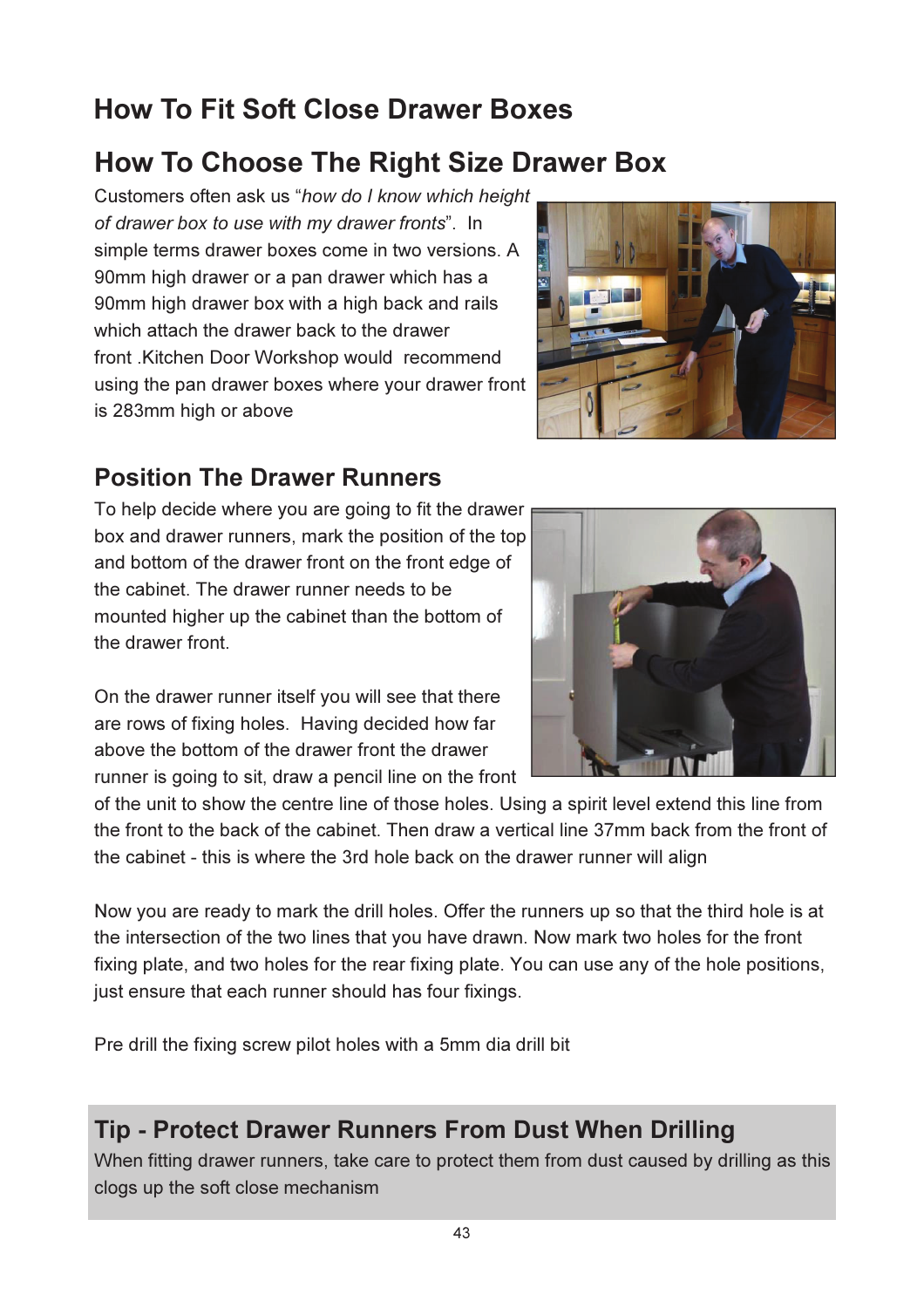# How To Fit Soft Close Drawer Boxes

## How To Choose The Right Size Drawer Box

Customers often ask us "how do I know which height of drawer box to use with my drawer fronts". In simple terms drawer boxes come in two versions. A 90mm high drawer or a pan drawer which has a 90mm high drawer box with a high back and rails which attach the drawer back to the drawer front .Kitchen Door Workshop would recommend using the pan drawer boxes where your drawer front is 283mm high or above



#### Position The Drawer Runners

To help decide where you are going to fit the drawer box and drawer runners, mark the position of the top and bottom of the drawer front on the front edge of the cabinet. The drawer runner needs to be mounted higher up the cabinet than the bottom of the drawer front.



On the drawer runner itself you will see that there are rows of fixing holes. Having decided how far above the bottom of the drawer front the drawer runner is going to sit, draw a pencil line on the front

of the unit to show the centre line of those holes. Using a spirit level extend this line from the front to the back of the cabinet. Then draw a vertical line 37mm back from the front of the cabinet - this is where the 3rd hole back on the drawer runner will align

Now you are ready to mark the drill holes. Offer the runners up so that the third hole is at the intersection of the two lines that you have drawn. Now mark two holes for the front fixing plate, and two holes for the rear fixing plate. You can use any of the hole positions, just ensure that each runner should has four fixings.

Pre drill the fixing screw pilot holes with a 5mm dia drill bit

### Tip - Protect Drawer Runners From Dust When Drilling

When fitting drawer runners, take care to protect them from dust caused by drilling as this clogs up the soft close mechanism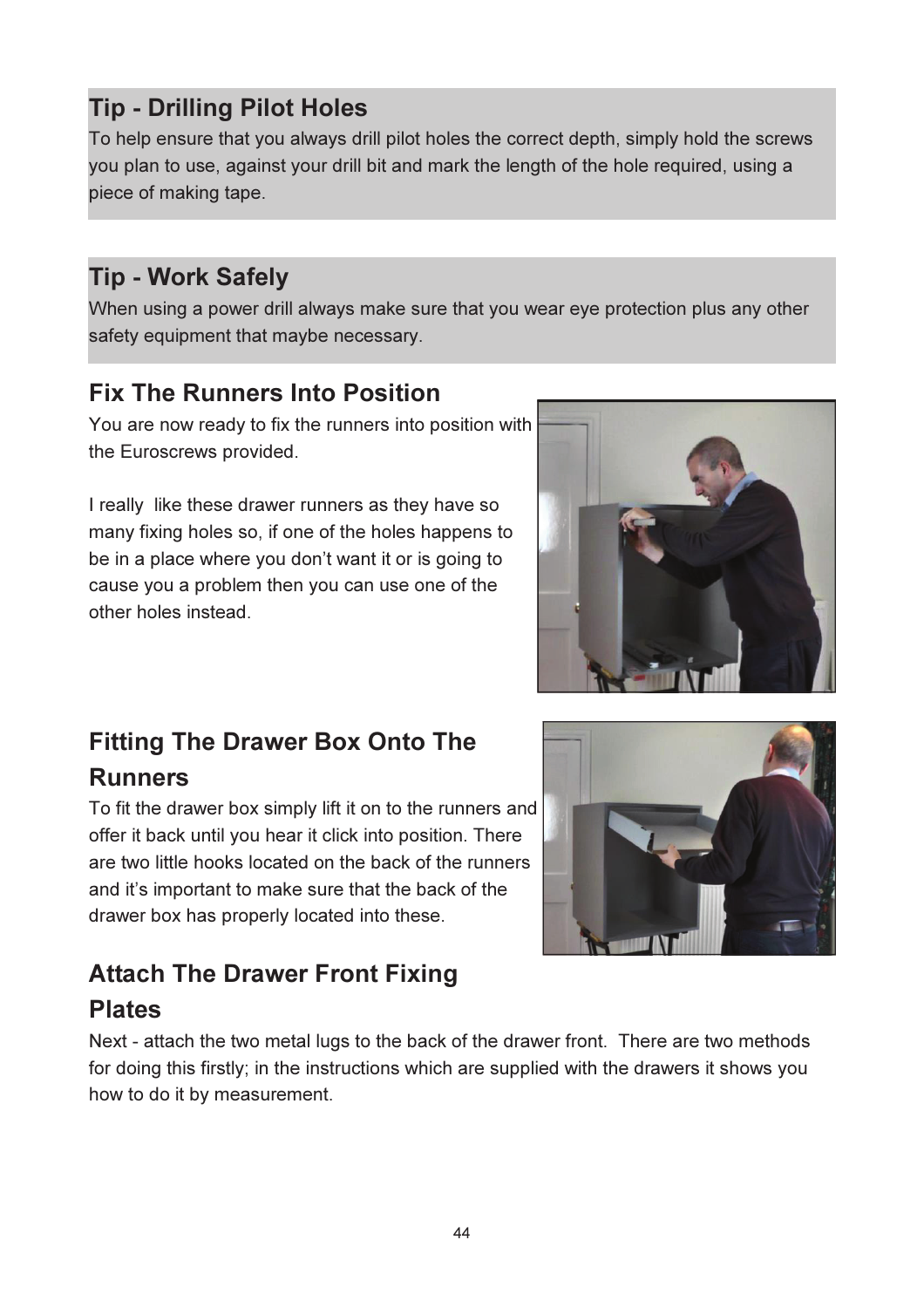### Tip - Drilling Pilot Holes

To help ensure that you always drill pilot holes the correct depth, simply hold the screws you plan to use, against your drill bit and mark the length of the hole required, using a piece of making tape.

### Tip - Work Safely

When using a power drill always make sure that you wear eye protection plus any other safety equipment that maybe necessary.

### Fix The Runners Into Position

You are now ready to fix the runners into position with the Euroscrews provided.

I really like these drawer runners as they have so many fixing holes so, if one of the holes happens to be in a place where you don't want it or is going to cause you a problem then you can use one of the other holes instead.

# Fitting The Drawer Box Onto The Runners

To fit the drawer box simply lift it on to the runners and offer it back until you hear it click into position. There are two little hooks located on the back of the runners and it's important to make sure that the back of the drawer box has properly located into these.

### Attach The Drawer Front Fixing Plates

Next - attach the two metal lugs to the back of the drawer front. There are two methods for doing this firstly; in the instructions which are supplied with the drawers it shows you how to do it by measurement.



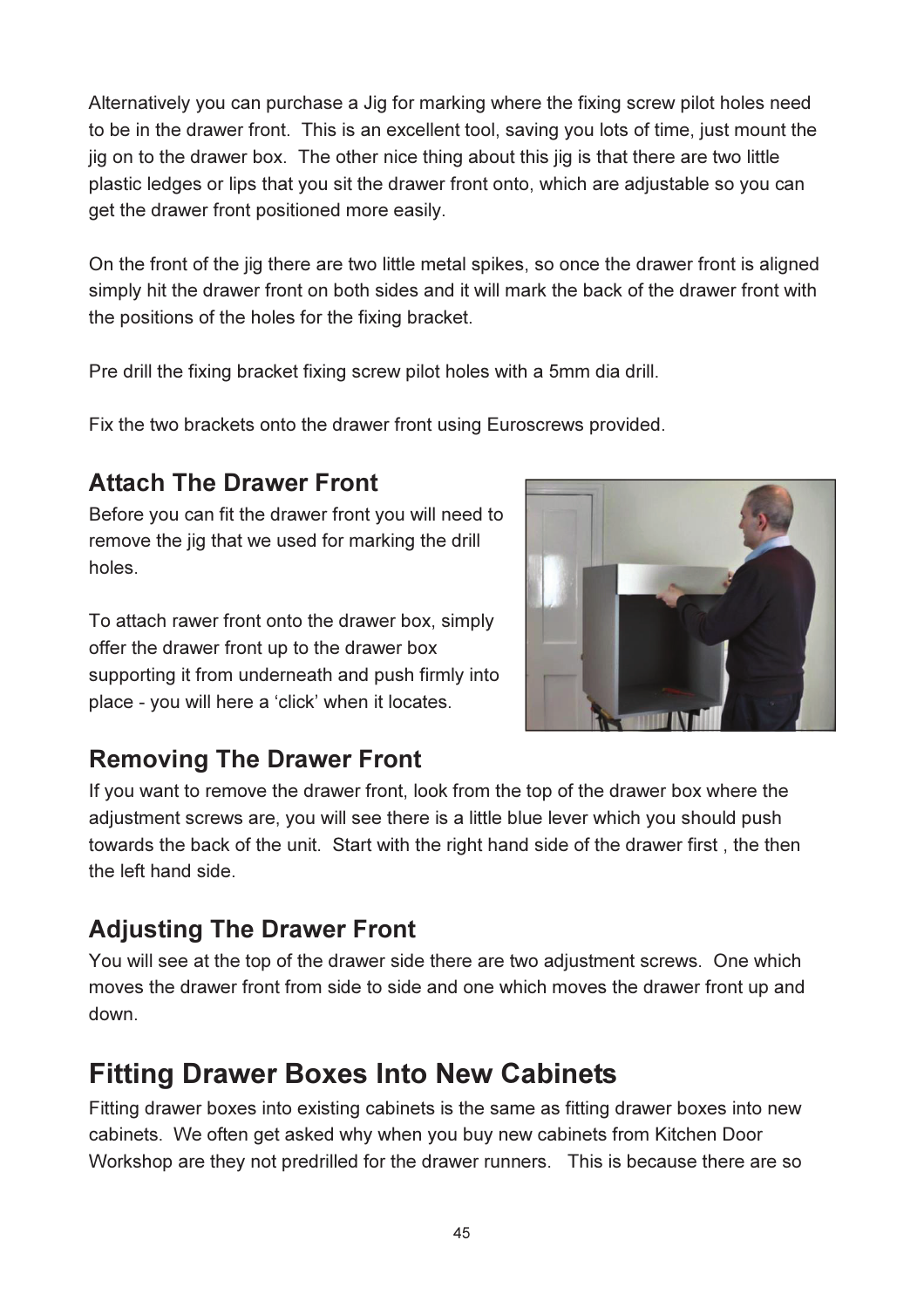Alternatively you can purchase a Jig for marking where the fixing screw pilot holes need to be in the drawer front. This is an excellent tool, saving you lots of time, just mount the jig on to the drawer box. The other nice thing about this jig is that there are two little plastic ledges or lips that you sit the drawer front onto, which are adjustable so you can get the drawer front positioned more easily.

On the front of the jig there are two little metal spikes, so once the drawer front is aligned simply hit the drawer front on both sides and it will mark the back of the drawer front with the positions of the holes for the fixing bracket.

Pre drill the fixing bracket fixing screw pilot holes with a 5mm dia drill.

Fix the two brackets onto the drawer front using Euroscrews provided.

### Attach The Drawer Front

Before you can fit the drawer front you will need to remove the jig that we used for marking the drill holes.

To attach rawer front onto the drawer box, simply offer the drawer front up to the drawer box supporting it from underneath and push firmly into place - you will here a 'click' when it locates.



### Removing The Drawer Front

If you want to remove the drawer front, look from the top of the drawer box where the adjustment screws are, you will see there is a little blue lever which you should push towards the back of the unit. Start with the right hand side of the drawer first , the then the left hand side.

### Adjusting The Drawer Front

You will see at the top of the drawer side there are two adjustment screws. One which moves the drawer front from side to side and one which moves the drawer front up and down.

# Fitting Drawer Boxes Into New Cabinets

Fitting drawer boxes into existing cabinets is the same as fitting drawer boxes into new cabinets. We often get asked why when you buy new cabinets from Kitchen Door Workshop are they not predrilled for the drawer runners. This is because there are so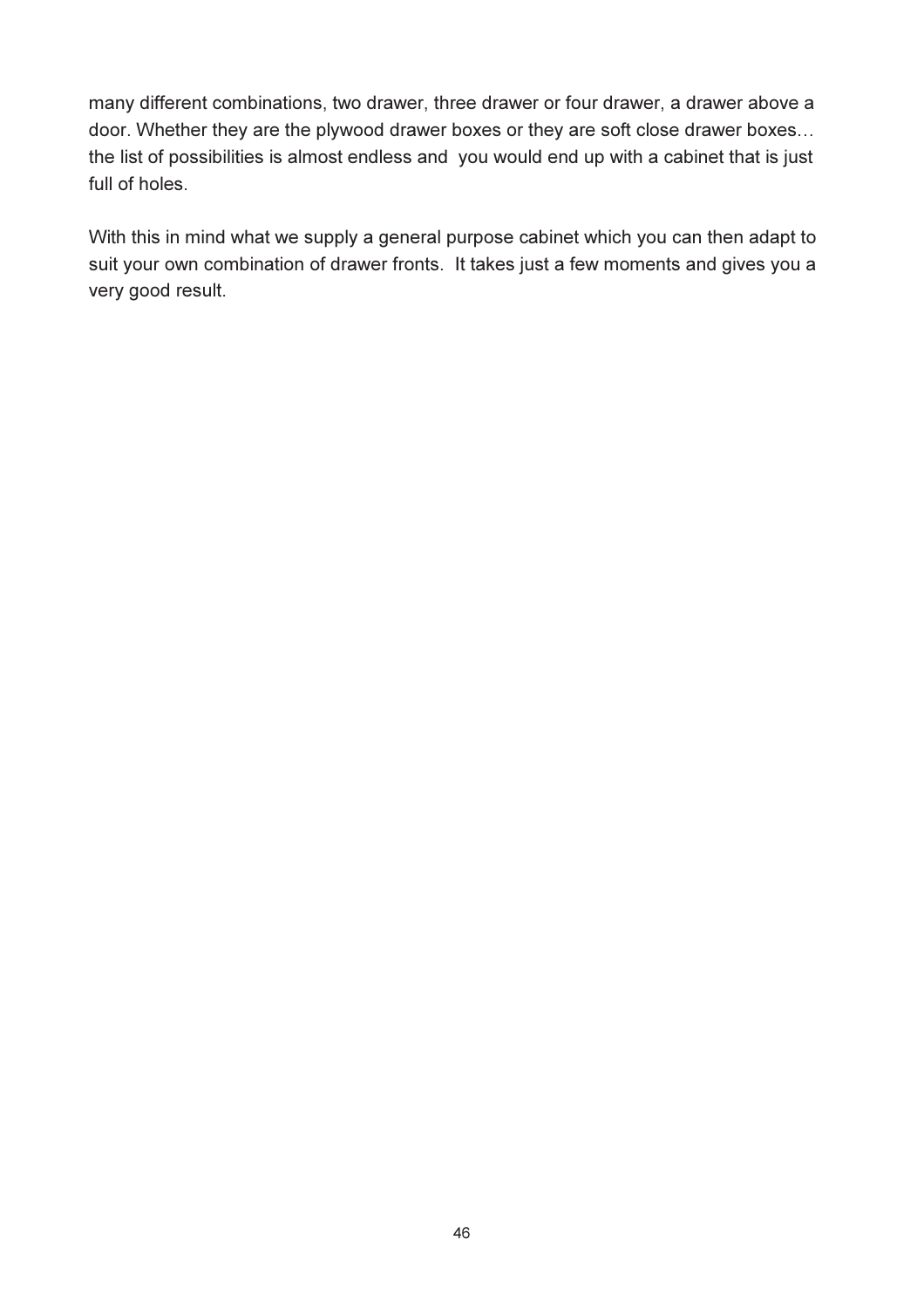many different combinations, two drawer, three drawer or four drawer, a drawer above a door. Whether they are the plywood drawer boxes or they are soft close drawer boxes... the list of possibilities is almost endless and you would end up with a cabinet that is just full of holes.

With this in mind what we supply a general purpose cabinet which you can then adapt to suit your own combination of drawer fronts. It takes just a few moments and gives you a very good result.